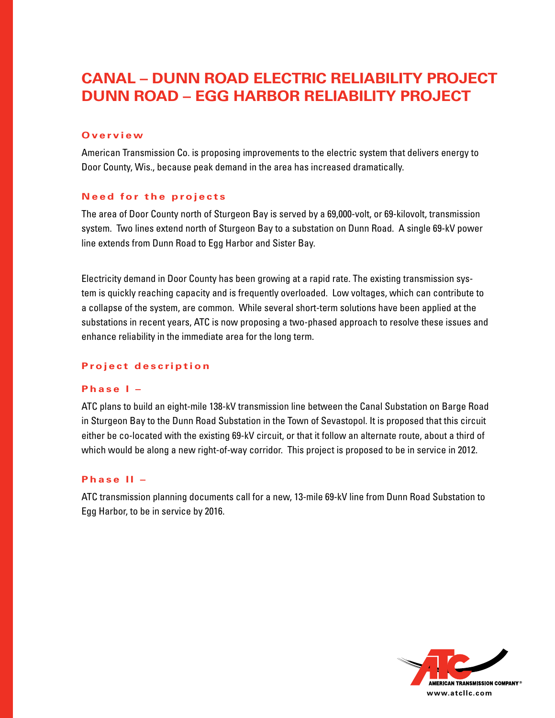# **Canal – Dunn Road Electric Reliability Project Dunn Road – Egg Harbor Reliability Project**

#### **O v e r v i e w**

American Transmission Co. is proposing improvements to the electric system that delivers energy to Door County, Wis., because peak demand in the area has increased dramatically.

# **Need for the projects**

The area of Door County north of Sturgeon Bay is served by a 69,000-volt, or 69-kilovolt, transmission system. Two lines extend north of Sturgeon Bay to a substation on Dunn Road. A single 69-kV power line extends from Dunn Road to Egg Harbor and Sister Bay.

Electricity demand in Door County has been growing at a rapid rate. The existing transmission system is quickly reaching capacity and is frequently overloaded. Low voltages, which can contribute to a collapse of the system, are common. While several short-term solutions have been applied at the substations in recent years, ATC is now proposing a two-phased approach to resolve these issues and enhance reliability in the immediate area for the long term.

# Project description

# Phase I –

ATC plans to build an eight-mile 138-kV transmission line between the Canal Substation on Barge Road in Sturgeon Bay to the Dunn Road Substation in the Town of Sevastopol. It is proposed that this circuit either be co-located with the existing 69-kV circuit, or that it follow an alternate route, about a third of which would be along a new right-of-way corridor. This project is proposed to be in service in 2012.

### **P h a s e II –**

ATC transmission planning documents call for a new, 13-mile 69-kV line from Dunn Road Substation to Egg Harbor, to be in service by 2016.